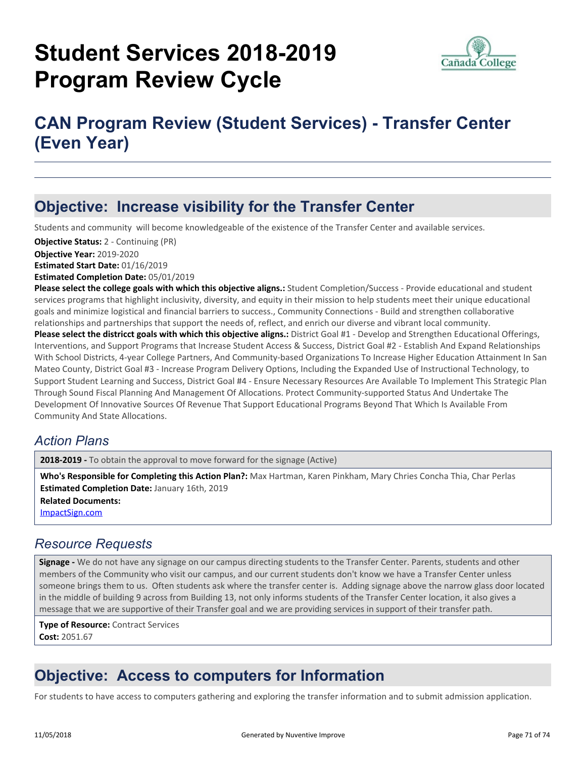# **Student Services 2018-2019 Program Review Cycle**



## **CAN Program Review (Student Services) - Transfer Center (Even Year)**

### **Objective: Increase visibility for the Transfer Center**

Students and community will become knowledgeable of the existence of the Transfer Center and available services.

**Objective Year:** 2019-2020 **Estimated Start Date:** 01/16/2019 **Estimated Completion Date:** 05/01/2019 **Objective Status:** 2 - Continuing (PR)

**Please select the college goals with which this objective aligns.:** Student Completion/Success - Provide educational and student services programs that highlight inclusivity, diversity, and equity in their mission to help students meet their unique educational goals and minimize logistical and financial barriers to success., Community Connections - Build and strengthen collaborative relationships and partnerships that support the needs of, reflect, and enrich our diverse and vibrant local community. **Please select the districct goals with which this objective aligns.:** District Goal #1 - Develop and Strengthen Educational Offerings, Interventions, and Support Programs that Increase Student Access & Success, District Goal #2 - Establish And Expand Relationships With School Districts, 4-year College Partners, And Community-based Organizations To Increase Higher Education Attainment In San Mateo County, District Goal #3 - Increase Program Delivery Options, Including the Expanded Use of Instructional Technology, to Support Student Learning and Success, District Goal #4 - Ensure Necessary Resources Are Available To Implement This Strategic Plan Through Sound Fiscal Planning And Management Of Allocations. Protect Community-supported Status And Undertake The Development Of Innovative Sources Of Revenue That Support Educational Programs Beyond That Which Is Available From Community And State Allocations.

#### *Action Plans*

**2018-2019 -** To obtain the approval to move forward for the signage (Active)

**Related Documents:** [ImpactSign.com](https://sanmateo.tracdat.com:443/tracdat/viewDocument?y=YYfp7TVkOQxe) **Who's Responsible for Completing this Action Plan?:** Max Hartman, Karen Pinkham, Mary Chries Concha Thia, Char Perlas **Estimated Completion Date:** January 16th, 2019

#### *Resource Requests*

**Signage -** We do not have any signage on our campus directing students to the Transfer Center. Parents, students and other members of the Community who visit our campus, and our current students don't know we have a Transfer Center unless someone brings them to us. Often students ask where the transfer center is. Adding signage above the narrow glass door located in the middle of building 9 across from Building 13, not only informs students of the Transfer Center location, it also gives a message that we are supportive of their Transfer goal and we are providing services in support of their transfer path.

**Type of Resource:** Contract Services **Cost:** 2051.67

### **Objective: Access to computers for Information**

For students to have access to computers gathering and exploring the transfer information and to submit admission application.